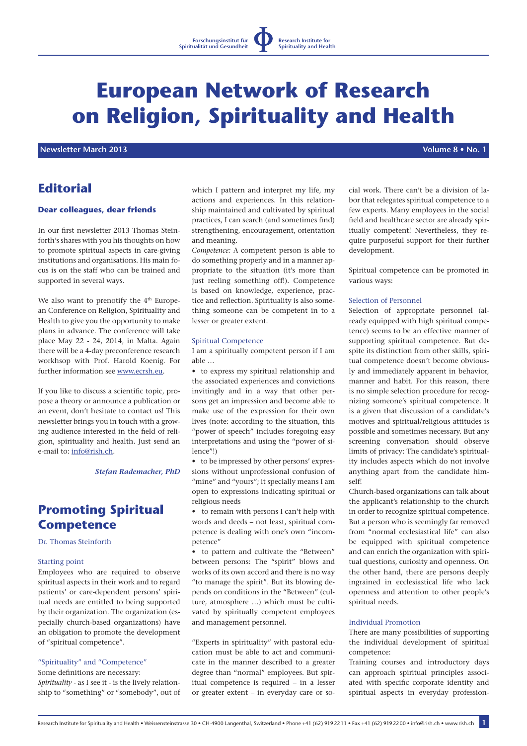# **European Network of Research on Religion, Spirituality and Health**

 **Newsletter March 2013 Volume 8 • No. 1**

# **Editorial**

## **Dear colleagues, dear friends**

In our first newsletter 2013 Thomas Steinforth's shares with you his thoughts on how to promote spiritual aspects in care-giving institutions and organisations. His main focus is on the staff who can be trained and supported in several ways.

We also want to prenotify the 4<sup>th</sup> European Conference on Religion, Spirituality and Health to give you the opportunity to make plans in advance. The conference will take place May 22 - 24, 2014, in Malta. Again there will be a 4-day preconference research workhsop with Prof. Harold Koenig. For further information see www.ecrsh.eu.

If you like to discuss a scientific topic, propose a theory or announce a publication or an event, don't hesitate to contact us! This newsletter brings you in touch with a growing audience interested in the field of religion, spirituality and health. Just send an e-mail to: info@rish.ch.

*Stefan Rademacher, PhD*

# **Promoting Spiritual Competence**

Dr. Thomas Steinforth

#### Starting point

Employees who are required to observe spiritual aspects in their work and to regard patients' or care-dependent persons' spiritual needs are entitled to being supported by their organization. The organization (especially church-based organizations) have an obligation to promote the development of "spiritual competence".

# "Spirituality" and "Competence"

Some definitions are necessary: *Spirituality* - as I see it - is the lively relationship to "something" or "somebody", out of which I pattern and interpret my life, my actions and experiences. In this relationship maintained and cultivated by spiritual practices, I can search (and sometimes find) strengthening, encouragement, orientation and meaning.

*Competence:* A competent person is able to do something properly and in a manner appropriate to the situation (it's more than just reeling something off!). Competence is based on knowledge, experience, practice and reflection. Spirituality is also something someone can be competent in to a lesser or greater extent.

#### Spiritual Competence

I am a spiritually competent person if I am able …

• to express my spiritual relationship and the associated experiences and convictions invitingly and in a way that other persons get an impression and become able to make use of the expression for their own lives (note: according to the situation, this "power of speech" includes foregoing easy interpretations and using the "power of silence"!)

• to be impressed by other persons' expressions without unprofessional confusion of "mine" and "yours"; it specially means I am open to expressions indicating spiritual or religious needs

• to remain with persons I can't help with words and deeds – not least, spiritual competence is dealing with one's own "incompetence"

• to pattern and cultivate the "Between" between persons: The "spirit" blows and works of its own accord and there is no way "to manage the spirit". But its blowing depends on conditions in the "Between" (culture, atmosphere …) which must be cultivated by spiritually competent employees and management personnel.

"Experts in spirituality" with pastoral education must be able to act and communicate in the manner described to a greater degree than "normal" employees. But spiritual competence is required – in a lesser or greater extent – in everyday care or social work. There can't be a division of labor that relegates spiritual competence to a few experts. Many employees in the social field and healthcare sector are already spiritually competent! Nevertheless, they require purposeful support for their further development.

Spiritual competence can be promoted in various ways:

#### Selection of Personnel

Selection of appropriate personnel (already equipped with high spiritual competence) seems to be an effective manner of supporting spiritual competence. But despite its distinction from other skills, spiritual competence doesn't become obviously and immediately apparent in behavior, manner and habit. For this reason, there is no simple selection procedure for recognizing someone's spiritual competence. It is a given that discussion of a candidate's motives and spiritual/religious attitudes is possible and sometimes necessary. But any screening conversation should observe limits of privacy: The candidate's spirituality includes aspects which do not involve anything apart from the candidate himself!

Church-based organizations can talk about the applicant's relationship to the church in order to recognize spiritual competence. But a person who is seemingly far removed from "normal ecclesiastical life" can also be equipped with spiritual competence and can enrich the organization with spiritual questions, curiosity and openness. On the other hand, there are persons deeply ingrained in ecclesiastical life who lack openness and attention to other people's spiritual needs.

#### Individual Promotion

There are many possibilities of supporting the individual development of spiritual competence:

Training courses and introductory days can approach spiritual principles associated with specific corporate identity and spiritual aspects in everyday profession-